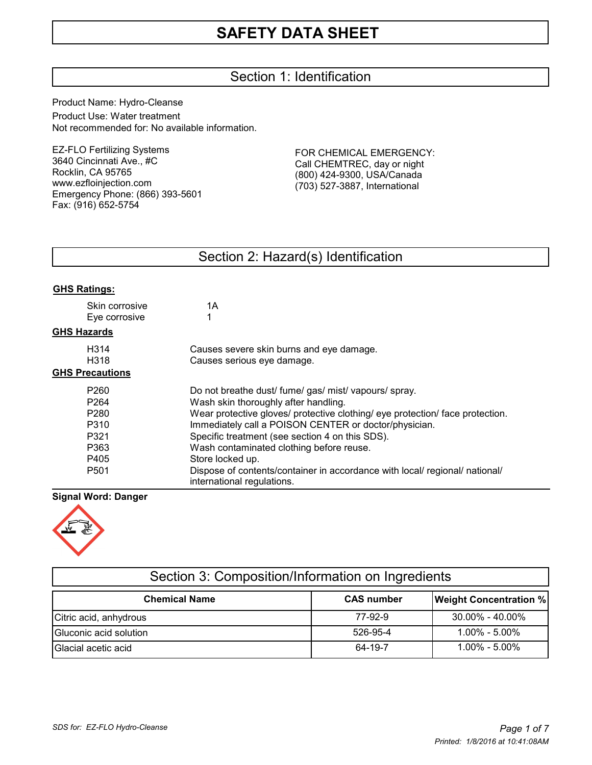# Section 1: Identification

Product Name: Hydro-Cleanse

Product Use: Water treatment Not recommended for: No available information.

EZ-FLO Fertilizing Systems 3640 Cincinnati Ave., #C Rocklin, CA 95765 www.ezfloinjection.com Emergency Phone: (866) 393-5601 Fax: (916) 652-5754

FOR CHEMICAL EMERGENCY: Call CHEMTREC, day or night (800) 424-9300, USA/Canada (703) 527-3887, International

# Section 2: Hazard(s) Identification

| <b>GHS Ratings:</b>             |                                                                                                           |
|---------------------------------|-----------------------------------------------------------------------------------------------------------|
| Skin corrosive<br>Eye corrosive | 1Α                                                                                                        |
| <b>GHS Hazards</b>              |                                                                                                           |
| H314                            | Causes severe skin burns and eye damage.                                                                  |
| H318                            | Causes serious eye damage.                                                                                |
| <b>GHS Precautions</b>          |                                                                                                           |
| P <sub>260</sub>                | Do not breathe dust/ fume/ gas/ mist/ vapours/ spray.                                                     |
| P <sub>264</sub>                | Wash skin thoroughly after handling.                                                                      |
| P <sub>280</sub>                | Wear protective gloves/ protective clothing/ eye protection/ face protection.                             |
| P310                            | Immediately call a POISON CENTER or doctor/physician.                                                     |
| P321                            | Specific treatment (see section 4 on this SDS).                                                           |
| P363                            | Wash contaminated clothing before reuse.                                                                  |
| P405                            | Store locked up.                                                                                          |
| P <sub>501</sub>                | Dispose of contents/container in accordance with local/ regional/ national/<br>international regulations. |

# **Signal Word: Danger**



| <u>UUUNI U. UUNIPUUNIINIINIINIINIIUNI UN INGLUUNIU</u> |                   |                               |  |  |  |
|--------------------------------------------------------|-------------------|-------------------------------|--|--|--|
| <b>Chemical Name</b>                                   | <b>CAS number</b> | <b>Weight Concentration %</b> |  |  |  |
| Citric acid, anhydrous                                 | 77-92-9           | $30.00\% - 40.00\%$           |  |  |  |
| Gluconic acid solution                                 | 526-95-4          | 1.00% - 5.00%                 |  |  |  |
| Glacial acetic acid                                    | 64-19-7           | $1.00\% - 5.00\%$             |  |  |  |

Section 3: Composition/Information on Ingredients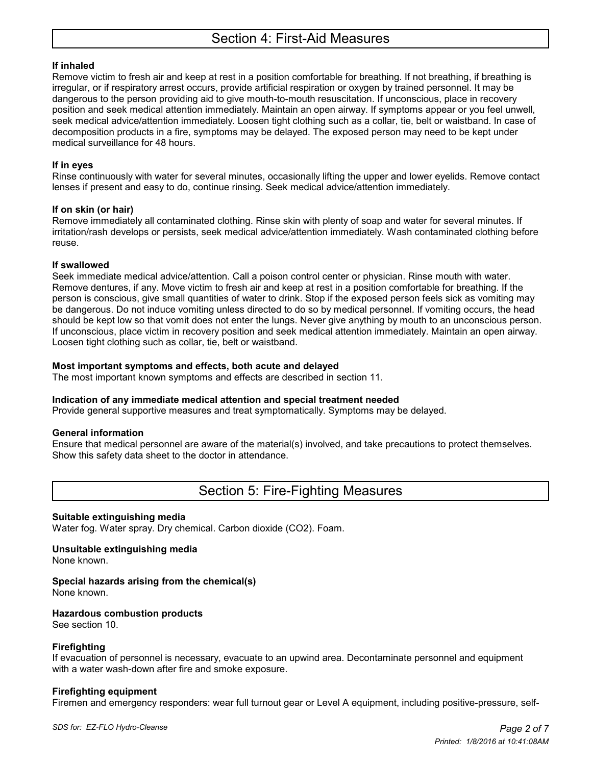# **If inhaled**

Remove victim to fresh air and keep at rest in a position comfortable for breathing. If not breathing, if breathing is irregular, or if respiratory arrest occurs, provide artificial respiration or oxygen by trained personnel. It may be dangerous to the person providing aid to give mouth-to-mouth resuscitation. If unconscious, place in recovery position and seek medical attention immediately. Maintain an open airway. If symptoms appear or you feel unwell, seek medical advice/attention immediately. Loosen tight clothing such as a collar, tie, belt or waistband. In case of decomposition products in a fire, symptoms may be delayed. The exposed person may need to be kept under medical surveillance for 48 hours.

# **If in eyes**

Rinse continuously with water for several minutes, occasionally lifting the upper and lower eyelids. Remove contact lenses if present and easy to do, continue rinsing. Seek medical advice/attention immediately.

# **If on skin (or hair)**

Remove immediately all contaminated clothing. Rinse skin with plenty of soap and water for several minutes. If irritation/rash develops or persists, seek medical advice/attention immediately. Wash contaminated clothing before reuse.

# **If swallowed**

Seek immediate medical advice/attention. Call a poison control center or physician. Rinse mouth with water. Remove dentures, if any. Move victim to fresh air and keep at rest in a position comfortable for breathing. If the person is conscious, give small quantities of water to drink. Stop if the exposed person feels sick as vomiting may be dangerous. Do not induce vomiting unless directed to do so by medical personnel. If vomiting occurs, the head should be kept low so that vomit does not enter the lungs. Never give anything by mouth to an unconscious person. If unconscious, place victim in recovery position and seek medical attention immediately. Maintain an open airway. Loosen tight clothing such as collar, tie, belt or waistband.

# **Most important symptoms and effects, both acute and delayed**

The most important known symptoms and effects are described in section 11.

# **Indication of any immediate medical attention and special treatment needed**

Provide general supportive measures and treat symptomatically. Symptoms may be delayed.

# **General information**

Ensure that medical personnel are aware of the material(s) involved, and take precautions to protect themselves. Show this safety data sheet to the doctor in attendance.

# Section 5: Fire-Fighting Measures

# **Suitable extinguishing media**

Water fog. Water spray. Dry chemical. Carbon dioxide (CO2). Foam.

# **Unsuitable extinguishing media**

None known.

# **Special hazards arising from the chemical(s)**

None known.

# **Hazardous combustion products**

See section 10.

# **Firefighting**

If evacuation of personnel is necessary, evacuate to an upwind area. Decontaminate personnel and equipment with a water wash-down after fire and smoke exposure.

# **Firefighting equipment**

Firemen and emergency responders: wear full turnout gear or Level A equipment, including positive-pressure, self-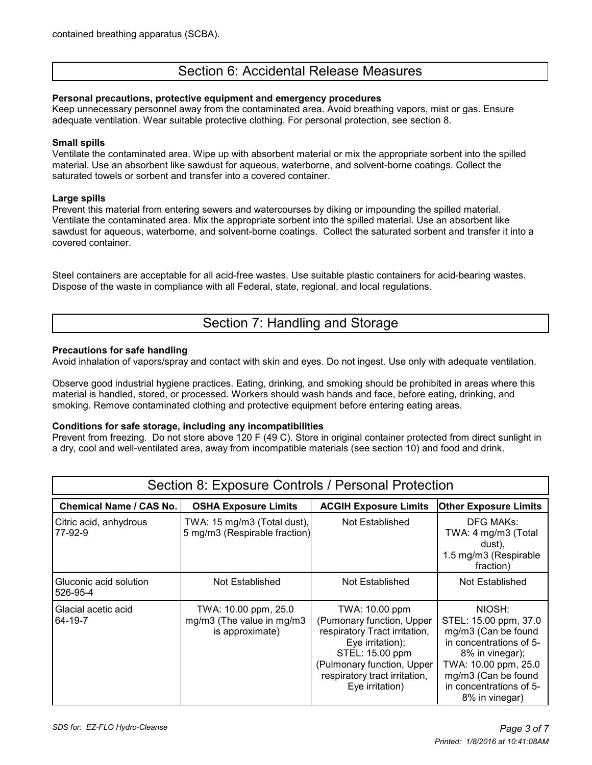# Section 6: Accidental Release Measures

### **Personal precautions, protective equipment and emergency procedures**

Keep unnecessary personnel away from the contaminated area. Avoid breathing vapors, mist or gas. Ensure adequate ventilation. Wear suitable protective clothing. For personal protection, see section 8.

#### **Small spills**

Ventilate the contaminated area. Wipe up with absorbent material or mix the appropriate sorbent into the spilled material. Use an absorbent like sawdust for aqueous, waterborne, and solvent-borne coatings. Collect the saturated towels or sorbent and transfer into a covered container.

#### **Large spills**

Prevent this material from entering sewers and watercourses by diking or impounding the spilled material. Ventilate the contaminated area. Mix the appropriate sorbent into the spilled material. Use an absorbent like sawdust for aqueous, waterborne, and solvent-borne coatings. Collect the saturated sorbent and transfer it into a covered container.

Steel containers are acceptable for all acid-free wastes. Use suitable plastic containers for acid-bearing wastes. Dispose of the waste in compliance with all Federal, state, regional, and local regulations.

# Section 7: Handling and Storage

### **Precautions for safe handling**

Avoid inhalation of vapors/spray and contact with skin and eyes. Do not ingest. Use only with adequate ventilation.

Observe good industrial hygiene practices. Eating, drinking, and smoking should be prohibited in areas where this material is handled, stored, or processed. Workers should wash hands and face, before eating, drinking, and smoking. Remove contaminated clothing and protective equipment before entering eating areas.

#### **Conditions for safe storage, including any incompatibilities**

Prevent from freezing. Do not store above 120 F (49 C). Store in original container protected from direct sunlight in a dry, cool and well-ventilated area, away from incompatible materials (see section 10) and food and drink.

| Section 8: Exposure Controls / Personal Protection |                                                                      |                                                                                                                                                                                                       |                                                                                                                                                                                                  |  |  |  |
|----------------------------------------------------|----------------------------------------------------------------------|-------------------------------------------------------------------------------------------------------------------------------------------------------------------------------------------------------|--------------------------------------------------------------------------------------------------------------------------------------------------------------------------------------------------|--|--|--|
| <b>Chemical Name / CAS No.</b>                     | <b>OSHA Exposure Limits</b>                                          | <b>ACGIH Exposure Limits</b>                                                                                                                                                                          | <b>Other Exposure Limits</b>                                                                                                                                                                     |  |  |  |
| Citric acid, anhydrous<br>77-92-9                  | TWA: 15 mg/m3 (Total dust),<br>5 mg/m3 (Respirable fraction)         | Not Established                                                                                                                                                                                       | <b>DFG MAKs:</b><br>TWA: 4 mg/m3 (Total<br>dust),<br>1.5 mg/m3 (Respirable<br>fraction)                                                                                                          |  |  |  |
| Gluconic acid solution<br>526-95-4                 | Not Established                                                      | Not Established                                                                                                                                                                                       | Not Established                                                                                                                                                                                  |  |  |  |
| Glacial acetic acid<br>64-19-7                     | TWA: 10.00 ppm, 25.0<br>mg/m3 (The value in mg/m3<br>is approximate) | TWA: 10.00 ppm<br>(Pumonary function, Upper<br>respiratory Tract irritation,<br>Eye irritation);<br>STEL: 15.00 ppm<br>(Pulmonary function, Upper<br>respiratory tract irritation,<br>Eye irritation) | NIOSH:<br>STEL: 15.00 ppm, 37.0<br>mg/m3 (Can be found<br>in concentrations of 5-<br>8% in vinegar);<br>TWA: 10.00 ppm, 25.0<br>mg/m3 (Can be found<br>in concentrations of 5-<br>8% in vinegar) |  |  |  |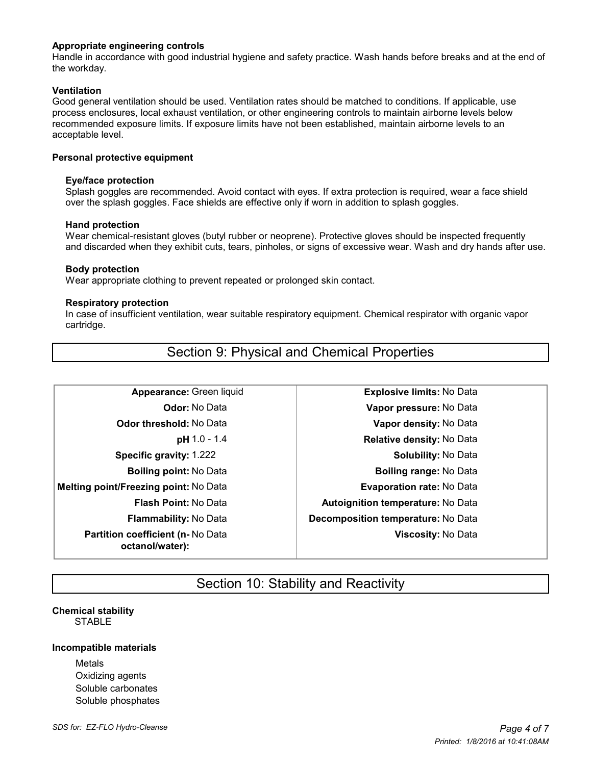### **Appropriate engineering controls**

Handle in accordance with good industrial hygiene and safety practice. Wash hands before breaks and at the end of the workday.

### **Ventilation**

Good general ventilation should be used. Ventilation rates should be matched to conditions. If applicable, use process enclosures, local exhaust ventilation, or other engineering controls to maintain airborne levels below recommended exposure limits. If exposure limits have not been established, maintain airborne levels to an acceptable level.

#### **Personal protective equipment**

#### **Eye/face protection**

 Splash goggles are recommended. Avoid contact with eyes. If extra protection is required, wear a face shield over the splash goggles. Face shields are effective only if worn in addition to splash goggles.

#### **Hand protection**

 Wear chemical-resistant gloves (butyl rubber or neoprene). Protective gloves should be inspected frequently and discarded when they exhibit cuts, tears, pinholes, or signs of excessive wear. Wash and dry hands after use.

#### **Body protection**

Wear appropriate clothing to prevent repeated or prolonged skin contact.

#### **Respiratory protection**

 In case of insufficient ventilation, wear suitable respiratory equipment. Chemical respirator with organic vapor cartridge.

**Melting point/Freezing point:** No Data **Evaporation rate:** No Data **Partition coefficient (n-** No Data **octanol/water):**

Section 9: Physical and Chemical Properties

**Appearance:** Green liquid **Explosive limits:** No Data **Odor:** No Data **Vapor pressure:** No Data **Odor threshold:** No Data **Vapor density:** No Data **pH** 1.0 - 1.4 **Relative density:** No Data **Specific gravity:** 1.222 **Solubility:** No Data **Boiling point:** No Data **Boiling range:** No Data **Flash Point:** No Data **Autoignition temperature:** No Data **Flammability:** No Data **Decomposition temperature:** No Data **Viscosity:** No Data

# Section 10: Stability and Reactivity

# **Chemical stability** STABLE

#### **Incompatible materials**

Metals Oxidizing agents Soluble carbonates Soluble phosphates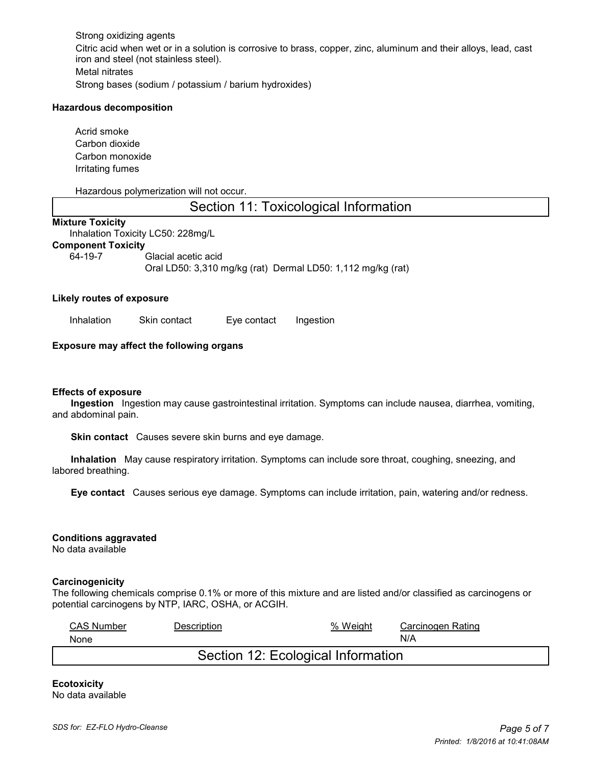Strong oxidizing agents Citric acid when wet or in a solution is corrosive to brass, copper, zinc, aluminum and their alloys, lead, cast iron and steel (not stainless steel). Metal nitrates Strong bases (sodium / potassium / barium hydroxides)

#### **Hazardous decomposition**

Acrid smoke Carbon dioxide Carbon monoxide Irritating fumes

#### Hazardous polymerization will not occur.

# Section 11: Toxicological Information

### **Mixture Toxicity**

Inhalation Toxicity LC50: 228mg/L **Component Toxicity**

64-19-7 Glacial acetic acid Oral LD50: 3,310 mg/kg (rat) Dermal LD50: 1,112 mg/kg (rat)

#### **Likely routes of exposure**

Inhalation Skin contact Eye contact Ingestion

#### **Exposure may affect the following organs**

#### **Effects of exposure**

 **Ingestion** Ingestion may cause gastrointestinal irritation. Symptoms can include nausea, diarrhea, vomiting, and abdominal pain.

 **Skin contact** Causes severe skin burns and eye damage.

 **Inhalation** May cause respiratory irritation. Symptoms can include sore throat, coughing, sneezing, and labored breathing.

 **Eye contact** Causes serious eye damage. Symptoms can include irritation, pain, watering and/or redness.

#### **Conditions aggravated**

No data available

#### **Carcinogenicity**

The following chemicals comprise 0.1% or more of this mixture and are listed and/or classified as carcinogens or potential carcinogens by NTP, IARC, OSHA, or ACGIH.

| <b>CAS Number</b><br>None          | Description | % Weight | Carcinogen Rating<br>N/A |  |  |  |
|------------------------------------|-------------|----------|--------------------------|--|--|--|
| Section 12: Ecological Information |             |          |                          |  |  |  |

#### **Ecotoxicity** No data available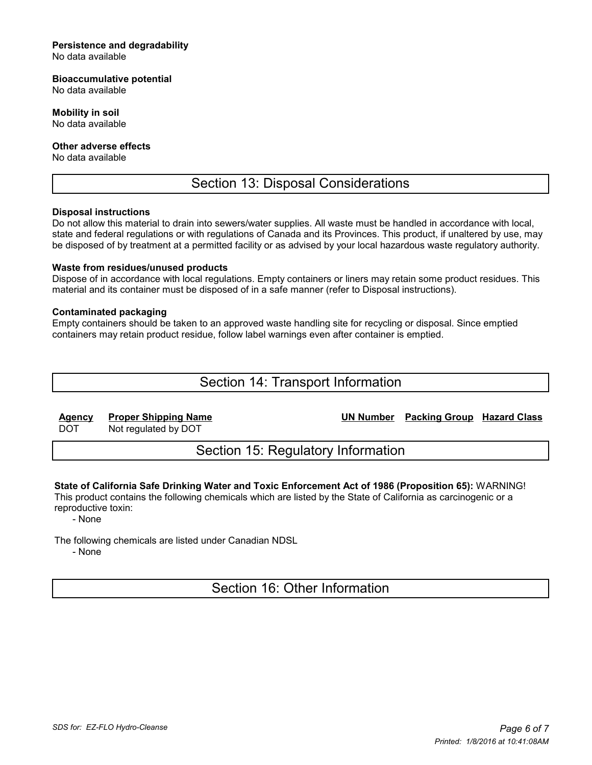#### **Persistence and degradability**

No data available

### **Bioaccumulative potential**

No data available

### **Mobility in soil**

No data available

### **Other adverse effects**

No data available

# Section 13: Disposal Considerations

### **Disposal instructions**

Do not allow this material to drain into sewers/water supplies. All waste must be handled in accordance with local, state and federal regulations or with regulations of Canada and its Provinces. This product, if unaltered by use, may be disposed of by treatment at a permitted facility or as advised by your local hazardous waste regulatory authority.

### **Waste from residues/unused products**

Dispose of in accordance with local regulations. Empty containers or liners may retain some product residues. This material and its container must be disposed of in a safe manner (refer to Disposal instructions).

### **Contaminated packaging**

Empty containers should be taken to an approved waste handling site for recycling or disposal. Since emptied containers may retain product residue, follow label warnings even after container is emptied.

# Section 14: Transport Information

**Agency Proper Shipping Name UN Number Packing Group Hazard Class**

DOT Not regulated by DOT

Section 15: Regulatory Information

# **State of California Safe Drinking Water and Toxic Enforcement Act of 1986 (Proposition 65):** WARNING!

This product contains the following chemicals which are listed by the State of California as carcinogenic or a reproductive toxin:

- None

The following chemicals are listed under Canadian NDSL

- None

Section 16: Other Information